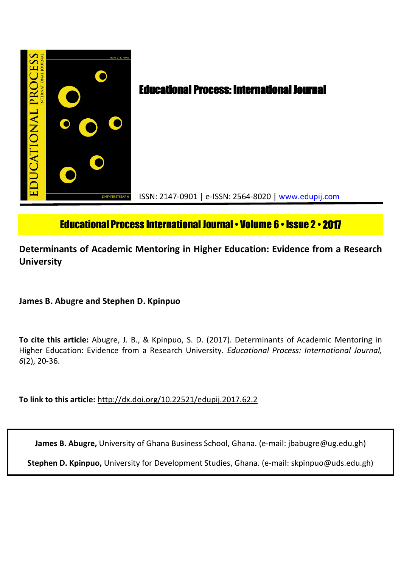

# Educational Process International Journal• Volume 6 • Issue 2 • **2017**

# **Determinants of Academic Mentoring in Higher Education: Evidence from a Research University**

**James B. Abugre and Stephen D. Kpinpuo**

**To cite this article:** Abugre, J. B., & Kpinpuo, S. D. (2017). Determinants of Academic Mentoring in Higher Education: Evidence from a Research University. *Educational Process: International Journal, 6*(2), 20-36.

**To link to this article:** http://dx.doi.org/10.22521/edupij.2017.62.2

**James B. Abugre,** University of Ghana Business School, Ghana. (e-mail: jbabugre@ug.edu.gh)

**Stephen D. Kpinpuo,** University for Development Studies, Ghana. (e-mail: skpinpuo@uds.edu.gh)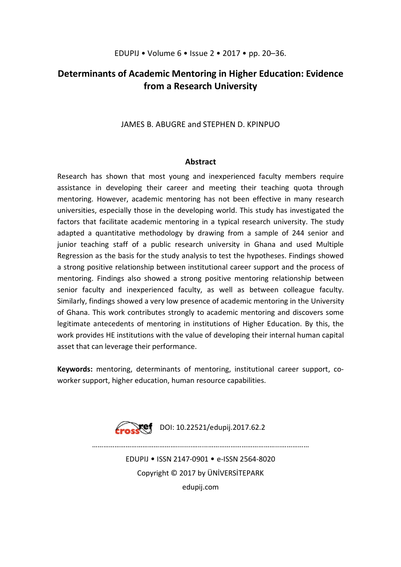# **Determinants of Academic Mentoring in Higher Education: Evidence from a Research University**

# JAMES B. ABUGRE and STEPHEN D. KPINPUO

# **Abstract**

Research has shown that most young and inexperienced faculty members require assistance in developing their career and meeting their teaching quota through mentoring. However, academic mentoring has not been effective in many research universities, especially those in the developing world. This study has investigated the factors that facilitate academic mentoring in a typical research university. The study adapted a quantitative methodology by drawing from a sample of 244 senior and junior teaching staff of a public research university in Ghana and used Multiple Regression as the basis for the study analysis to test the hypotheses. Findings showed a strong positive relationship between institutional career support and the process of mentoring. Findings also showed a strong positive mentoring relationship between senior faculty and inexperienced faculty, as well as between colleague faculty. Similarly, findings showed a very low presence of academic mentoring in the University of Ghana. This work contributes strongly to academic mentoring and discovers some legitimate antecedents of mentoring in institutions of Higher Education. By this, the work provides HE institutions with the value of developing their internal human capital asset that can leverage their performance.

**Keywords:** mentoring, determinants of mentoring, institutional career support, coworker support, higher education, human resource capabilities.



………………………………………........….....………………………………...……………

EDUPIJ • ISSN 2147-0901 • e-ISSN 2564-8020 Copyright © 2017 by ÜNİVERSİTEPARK

edupij.com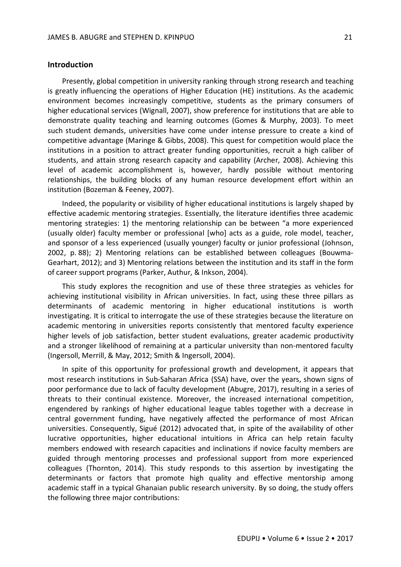### **Introduction**

Presently, global competition in university ranking through strong research and teaching is greatly influencing the operations of Higher Education (HE) institutions. As the academic environment becomes increasingly competitive, students as the primary consumers of higher educational services (Wignall, 2007), show preference for institutions that are able to demonstrate quality teaching and learning outcomes (Gomes & Murphy, 2003). To meet such student demands, universities have come under intense pressure to create a kind of competitive advantage (Maringe & Gibbs, 2008). This quest for competition would place the institutions in a position to attract greater funding opportunities, recruit a high caliber of students, and attain strong research capacity and capability (Archer, 2008). Achieving this level of academic accomplishment is, however, hardly possible without mentoring relationships, the building blocks of any human resource development effort within an institution (Bozeman & Feeney, 2007).

Indeed, the popularity or visibility of higher educational institutions is largely shaped by effective academic mentoring strategies. Essentially, the literature identifies three academic mentoring strategies: 1) the mentoring relationship can be between "a more experienced (usually older) faculty member or professional [who] acts as a guide, role model, teacher, and sponsor of a less experienced (usually younger) faculty or junior professional (Johnson, 2002, p. 88); 2) Mentoring relations can be established between colleagues (Bouwma-Gearhart, 2012); and 3) Mentoring relations between the institution and its staff in the form of career support programs (Parker, Authur, & Inkson, 2004).

This study explores the recognition and use of these three strategies as vehicles for achieving institutional visibility in African universities. In fact, using these three pillars as determinants of academic mentoring in higher educational institutions is worth investigating. It is critical to interrogate the use of these strategies because the literature on academic mentoring in universities reports consistently that mentored faculty experience higher levels of job satisfaction, better student evaluations, greater academic productivity and a stronger likelihood of remaining at a particular university than non-mentored faculty (Ingersoll, Merrill, & May, 2012; Smith & Ingersoll, 2004).

In spite of this opportunity for professional growth and development, it appears that most research institutions in Sub-Saharan Africa (SSA) have, over the years, shown signs of poor performance due to lack of faculty development (Abugre, 2017), resulting in a series of threats to their continual existence. Moreover, the increased international competition, engendered by rankings of higher educational league tables together with a decrease in central government funding, have negatively affected the performance of most African universities. Consequently, Sigué (2012) advocated that, in spite of the availability of other lucrative opportunities, higher educational intuitions in Africa can help retain faculty members endowed with research capacities and inclinations if novice faculty members are guided through mentoring processes and professional support from more experienced colleagues (Thornton, 2014). This study responds to this assertion by investigating the determinants or factors that promote high quality and effective mentorship among academic staff in a typical Ghanaian public research university. By so doing, the study offers the following three major contributions: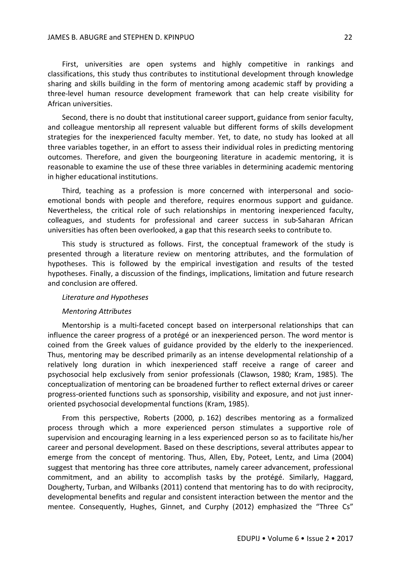First, universities are open systems and highly competitive in rankings and classifications, this study thus contributes to institutional development through knowledge sharing and skills building in the form of mentoring among academic staff by providing a three-level human resource development framework that can help create visibility for African universities.

Second, there is no doubt that institutional career support, guidance from senior faculty, and colleague mentorship all represent valuable but different forms of skills development strategies for the inexperienced faculty member. Yet, to date, no study has looked at all three variables together, in an effort to assess their individual roles in predicting mentoring outcomes. Therefore, and given the bourgeoning literature in academic mentoring, it is reasonable to examine the use of these three variables in determining academic mentoring in higher educational institutions.

Third, teaching as a profession is more concerned with interpersonal and socioemotional bonds with people and therefore, requires enormous support and guidance. Nevertheless, the critical role of such relationships in mentoring inexperienced faculty, colleagues, and students for professional and career success in sub-Saharan African universities has often been overlooked, a gap that this research seeks to contribute to.

This study is structured as follows. First, the conceptual framework of the study is presented through a literature review on mentoring attributes, and the formulation of hypotheses. This is followed by the empirical investigation and results of the tested hypotheses. Finally, a discussion of the findings, implications, limitation and future research and conclusion are offered.

#### *Literature and Hypotheses*

#### *Mentoring Attributes*

Mentorship is a multi-faceted concept based on interpersonal relationships that can influence the career progress of a protégé or an inexperienced person. The word mentor is coined from the Greek values of guidance provided by the elderly to the inexperienced. Thus, mentoring may be described primarily as an intense developmental relationship of a relatively long duration in which inexperienced staff receive a range of career and psychosocial help exclusively from senior professionals (Clawson, 1980; Kram, 1985). The conceptualization of mentoring can be broadened further to reflect external drives or career progress-oriented functions such as sponsorship, visibility and exposure, and not just inneroriented psychosocial developmental functions (Kram, 1985).

From this perspective, Roberts (2000, p. 162) describes mentoring as a formalized process through which a more experienced person stimulates a supportive role of supervision and encouraging learning in a less experienced person so as to facilitate his/her career and personal development. Based on these descriptions, several attributes appear to emerge from the concept of mentoring. Thus, Allen, Eby, Poteet, Lentz, and Lima (2004) suggest that mentoring has three core attributes, namely career advancement, professional commitment, and an ability to accomplish tasks by the protégé. Similarly, Haggard, Dougherty, Turban, and Wilbanks (2011) contend that mentoring has to do with reciprocity, developmental benefits and regular and consistent interaction between the mentor and the mentee. Consequently, Hughes, Ginnet, and Curphy (2012) emphasized the "Three Cs"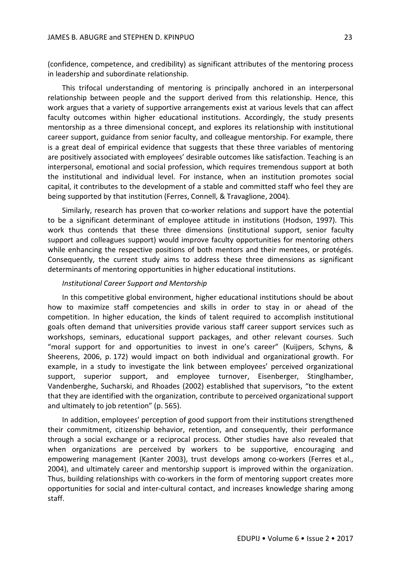(confidence, competence, and credibility) as significant attributes of the mentoring process in leadership and subordinate relationship.

This trifocal understanding of mentoring is principally anchored in an interpersonal relationship between people and the support derived from this relationship. Hence, this work argues that a variety of supportive arrangements exist at various levels that can affect faculty outcomes within higher educational institutions. Accordingly, the study presents mentorship as a three dimensional concept, and explores its relationship with institutional career support, guidance from senior faculty, and colleague mentorship. For example, there is a great deal of empirical evidence that suggests that these three variables of mentoring are positively associated with employees' desirable outcomes like satisfaction. Teaching is an interpersonal, emotional and social profession, which requires tremendous support at both the institutional and individual level. For instance, when an institution promotes social capital, it contributes to the development of a stable and committed staff who feel they are being supported by that institution (Ferres, Connell, & Travaglione, 2004).

Similarly, research has proven that co-worker relations and support have the potential to be a significant determinant of employee attitude in institutions (Hodson, 1997). This work thus contends that these three dimensions (institutional support, senior faculty support and colleagues support) would improve faculty opportunities for mentoring others while enhancing the respective positions of both mentors and their mentees, or protégés. Consequently, the current study aims to address these three dimensions as significant determinants of mentoring opportunities in higher educational institutions.

# *Institutional Career Support and Mentorship*

In this competitive global environment, higher educational institutions should be about how to maximize staff competencies and skills in order to stay in or ahead of the competition. In higher education, the kinds of talent required to accomplish institutional goals often demand that universities provide various staff career support services such as workshops, seminars, educational support packages, and other relevant courses. Such "moral support for and opportunities to invest in one's career" (Kuijpers, Schyns, & Sheerens, 2006, p. 172) would impact on both individual and organizational growth. For example, in a study to investigate the link between employees' perceived organizational support, superior support, and employee turnover, Eisenberger, Stinglhamber, Vandenberghe, Sucharski, and Rhoades (2002) established that supervisors, "to the extent that they are identified with the organization, contribute to perceived organizational support and ultimately to job retention" (p. 565).

In addition, employees' perception of good support from their institutions strengthened their commitment, citizenship behavior, retention, and consequently, their performance through a social exchange or a reciprocal process. Other studies have also revealed that when organizations are perceived by workers to be supportive, encouraging and empowering management (Kanter 2003), trust develops among co-workers (Ferres et al., 2004), and ultimately career and mentorship support is improved within the organization. Thus, building relationships with co-workers in the form of mentoring support creates more opportunities for social and inter-cultural contact, and increases knowledge sharing among staff.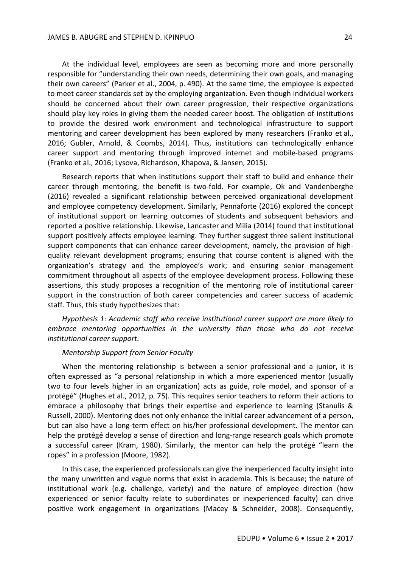At the individual level, employees are seen as becoming more and more personally responsible for "understanding their own needs, determining their own goals, and managing their own careers" (Parker et al., 2004, p. 490). At the same time, the employee is expected to meet career standards set by the employing organization. Even though individual workers should be concerned about their own career progression, their respective organizations should play key roles in giving them the needed career boost. The obligation of institutions to provide the desired work environment and technological infrastructure to support mentoring and career development has been explored by many researchers (Franko et al., 2016; Gubler, Arnold, & Coombs, 2014). Thus, institutions can technologically enhance career support and mentoring through improved internet and mobile-based programs (Franko et al., 2016; Lysova, Richardson, Khapova, & Jansen, 2015).

Research reports that when institutions support their staff to build and enhance their career through mentoring, the benefit is two-fold. For example, Ok and Vandenberghe (2016) revealed a significant relationship between perceived organizational development and employee competency development. Similarly, Pennaforte (2016) explored the concept of institutional support on learning outcomes of students and subsequent behaviors and reported a positive relationship. Likewise, Lancaster and Milia (2014) found that institutional support positively affects employee learning. They further suggest three salient institutional support components that can enhance career development, namely, the provision of highquality relevant development programs; ensuring that course content is aligned with the organization's strategy and the employee's work; and ensuring senior management commitment throughout all aspects of the employee development process. Following these assertions, this study proposes a recognition of the mentoring role of institutional career support in the construction of both career competencies and career success of academic staff. Thus, this study hypothesizes that:

*Hypothesis 1: Academic staff who receive institutional career support are more likely to embrace mentoring opportunities in the university than those who do not receive institutional career support*.

## *Mentorship Support from Senior Faculty*

When the mentoring relationship is between a senior professional and a junior, it is often expressed as "a personal relationship in which a more experienced mentor (usually two to four levels higher in an organization) acts as guide, role model, and sponsor of a protégé" (Hughes et al., 2012, p. 75). This requires senior teachers to reform their actions to embrace a philosophy that brings their expertise and experience to learning (Stanulis & Russell, 2000). Mentoring does not only enhance the initial career advancement of a person, but can also have a long-term effect on his/her professional development. The mentor can help the protégé develop a sense of direction and long-range research goals which promote a successful career (Kram, 1980). Similarly, the mentor can help the protégé "learn the ropes" in a profession (Moore, 1982).

In this case, the experienced professionals can give the inexperienced faculty insight into the many unwritten and vague norms that exist in academia. This is because; the nature of institutional work (e.g. challenge, variety) and the nature of employee direction (how experienced or senior faculty relate to subordinates or inexperienced faculty) can drive positive work engagement in organizations (Macey & Schneider, 2008). Consequently,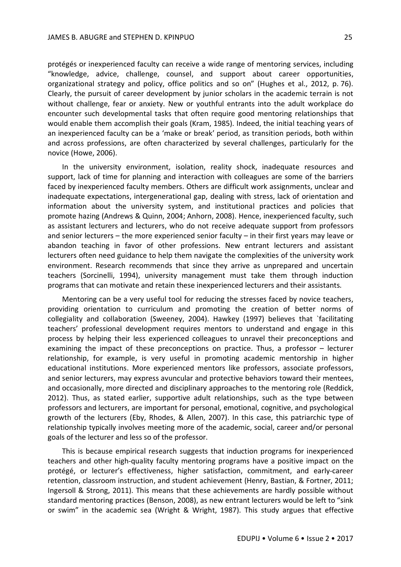protégés or inexperienced faculty can receive a wide range of mentoring services, including "knowledge, advice, challenge, counsel, and support about career opportunities, organizational strategy and policy, office politics and so on" (Hughes et al., 2012, p. 76). Clearly, the pursuit of career development by junior scholars in the academic terrain is not without challenge, fear or anxiety. New or youthful entrants into the adult workplace do encounter such developmental tasks that often require good mentoring relationships that would enable them accomplish their goals (Kram, 1985). Indeed, the initial teaching years of an inexperienced faculty can be a 'make or break' period, as transition periods, both within and across professions, are often characterized by several challenges, particularly for the novice (Howe, 2006).

In the university environment, isolation, reality shock, inadequate resources and support, lack of time for planning and interaction with colleagues are some of the barriers faced by inexperienced faculty members. Others are difficult work assignments, unclear and inadequate expectations, intergenerational gap, dealing with stress, lack of orientation and information about the university system, and institutional practices and policies that promote hazing (Andrews & Quinn, 2004; Anhorn, 2008). Hence, inexperienced faculty, such as assistant lecturers and lecturers, who do not receive adequate support from professors and senior lecturers – the more experienced senior faculty – in their first years may leave or abandon teaching in favor of other professions. New entrant lecturers and assistant lecturers often need guidance to help them navigate the complexities of the university work environment. Research recommends that since they arrive as unprepared and uncertain teachers (Sorcinelli, 1994), university management must take them through induction programs that can motivate and retain these inexperienced lecturers and their assistants.

Mentoring can be a very useful tool for reducing the stresses faced by novice teachers, providing orientation to curriculum and promoting the creation of better norms of collegiality and collaboration (Sweeney, 2004). Hawkey (1997) believes that `facilitating teachers' professional development requires mentors to understand and engage in this process by helping their less experienced colleagues to unravel their preconceptions and examining the impact of these preconceptions on practice. Thus, a professor – lecturer relationship, for example, is very useful in promoting academic mentorship in higher educational institutions. More experienced mentors like professors, associate professors, and senior lecturers, may express avuncular and protective behaviors toward their mentees, and occasionally, more directed and disciplinary approaches to the mentoring role (Reddick, 2012). Thus, as stated earlier, supportive adult relationships, such as the type between professors and lecturers, are important for personal, emotional, cognitive, and psychological growth of the lecturers (Eby, Rhodes, & Allen, 2007). In this case, this patriarchic type of relationship typically involves meeting more of the academic, social, career and/or personal goals of the lecturer and less so of the professor.

This is because empirical research suggests that induction programs for inexperienced teachers and other high-quality faculty mentoring programs have a positive impact on the protégé, or lecturer's effectiveness, higher satisfaction, commitment, and early-career retention, classroom instruction, and student achievement (Henry, Bastian, & Fortner, 2011; Ingersoll & Strong, 2011). This means that these achievements are hardly possible without standard mentoring practices (Benson, 2008), as new entrant lecturers would be left to "sink or swim" in the academic sea (Wright & Wright, 1987). This study argues that effective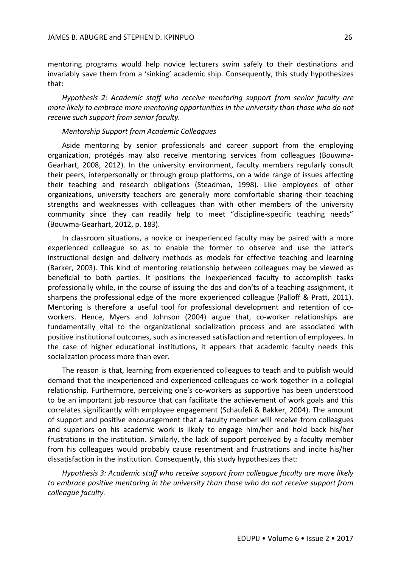mentoring programs would help novice lecturers swim safely to their destinations and invariably save them from a 'sinking' academic ship. Consequently, this study hypothesizes that:

*Hypothesis 2: Academic staff who receive mentoring support from senior faculty are more likely to embrace more mentoring opportunities in the university than those who do not receive such support from senior faculty.* 

# *Mentorship Support from Academic Colleagues*

Aside mentoring by senior professionals and career support from the employing organization, protégés may also receive mentoring services from colleagues (Bouwma-Gearhart, 2008, 2012). In the university environment, faculty members regularly consult their peers, interpersonally or through group platforms, on a wide range of issues affecting their teaching and research obligations (Steadman, 1998). Like employees of other organizations, university teachers are generally more comfortable sharing their teaching strengths and weaknesses with colleagues than with other members of the university community since they can readily help to meet "discipline-specific teaching needs" (Bouwma-Gearhart, 2012, p. 183).

In classroom situations, a novice or inexperienced faculty may be paired with a more experienced colleague so as to enable the former to observe and use the latter's instructional design and delivery methods as models for effective teaching and learning (Barker, 2003). This kind of mentoring relationship between colleagues may be viewed as beneficial to both parties. It positions the inexperienced faculty to accomplish tasks professionally while, in the course of issuing the dos and don'ts of a teaching assignment, it sharpens the professional edge of the more experienced colleague (Palloff & Pratt, 2011). Mentoring is therefore a useful tool for professional development and retention of coworkers. Hence, Myers and Johnson (2004) argue that, co-worker relationships are fundamentally vital to the organizational socialization process and are associated with positive institutional outcomes, such as increased satisfaction and retention of employees. In the case of higher educational institutions, it appears that academic faculty needs this socialization process more than ever.

The reason is that, learning from experienced colleagues to teach and to publish would demand that the inexperienced and experienced colleagues co-work together in a collegial relationship. Furthermore, perceiving one's co-workers as supportive has been understood to be an important job resource that can facilitate the achievement of work goals and this correlates significantly with employee engagement (Schaufeli & Bakker, 2004). The amount of support and positive encouragement that a faculty member will receive from colleagues and superiors on his academic work is likely to engage him/her and hold back his/her frustrations in the institution. Similarly, the lack of support perceived by a faculty member from his colleagues would probably cause resentment and frustrations and incite his/her dissatisfaction in the institution. Consequently, this study hypothesizes that:

*Hypothesis 3: Academic staff who receive support from colleague faculty are more likely to embrace positive mentoring in the university than those who do not receive support from colleague faculty.*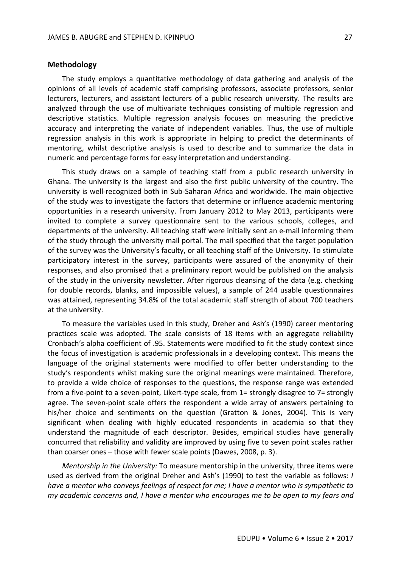### **Methodology**

The study employs a quantitative methodology of data gathering and analysis of the opinions of all levels of academic staff comprising professors, associate professors, senior lecturers, lecturers, and assistant lecturers of a public research university. The results are analyzed through the use of multivariate techniques consisting of multiple regression and descriptive statistics. Multiple regression analysis focuses on measuring the predictive accuracy and interpreting the variate of independent variables. Thus, the use of multiple regression analysis in this work is appropriate in helping to predict the determinants of mentoring, whilst descriptive analysis is used to describe and to summarize the data in numeric and percentage forms for easy interpretation and understanding.

This study draws on a sample of teaching staff from a public research university in Ghana. The university is the largest and also the first public university of the country. The university is well-recognized both in Sub-Saharan Africa and worldwide. The main objective of the study was to investigate the factors that determine or influence academic mentoring opportunities in a research university. From January 2012 to May 2013, participants were invited to complete a survey questionnaire sent to the various schools, colleges, and departments of the university. All teaching staff were initially sent an e-mail informing them of the study through the university mail portal. The mail specified that the target population of the survey was the University's faculty, or all teaching staff of the University. To stimulate participatory interest in the survey, participants were assured of the anonymity of their responses, and also promised that a preliminary report would be published on the analysis of the study in the university newsletter. After rigorous cleansing of the data (e.g. checking for double records, blanks, and impossible values), a sample of 244 usable questionnaires was attained, representing 34.8% of the total academic staff strength of about 700 teachers at the university.

To measure the variables used in this study, Dreher and Ash's (1990) career mentoring practices scale was adopted. The scale consists of 18 items with an aggregate reliability Cronbach's alpha coefficient of .95. Statements were modified to fit the study context since the focus of investigation is academic professionals in a developing context. This means the language of the original statements were modified to offer better understanding to the study's respondents whilst making sure the original meanings were maintained. Therefore, to provide a wide choice of responses to the questions, the response range was extended from a five-point to a seven-point, Likert-type scale, from 1= strongly disagree to 7= strongly agree. The seven-point scale offers the respondent a wide array of answers pertaining to his/her choice and sentiments on the question (Gratton & Jones, 2004). This is very significant when dealing with highly educated respondents in academia so that they understand the magnitude of each descriptor. Besides, empirical studies have generally concurred that reliability and validity are improved by using five to seven point scales rather than coarser ones – those with fewer scale points (Dawes, 2008, p. 3).

*Mentorship in the University:* To measure mentorship in the university, three items were used as derived from the original Dreher and Ash's (1990) to test the variable as follows: *I have a mentor who conveys feelings of respect for me; I have a mentor who is sympathetic to my academic concerns and, I have a mentor who encourages me to be open to my fears and*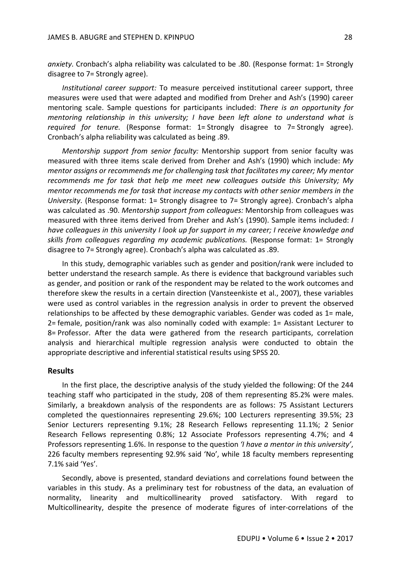*anxiety*. Cronbach's alpha reliability was calculated to be .80. (Response format: 1= Strongly disagree to 7= Strongly agree).

*Institutional career support:* To measure perceived institutional career support, three measures were used that were adapted and modified from Dreher and Ash's (1990) career mentoring scale. Sample questions for participants included: *There is an opportunity for mentoring relationship in this university; I have been left alone to understand what is required for tenure.* (Response format: 1= Strongly disagree to 7= Strongly agree). Cronbach's alpha reliability was calculated as being .89.

*Mentorship support from senior faculty:* Mentorship support from senior faculty was measured with three items scale derived from Dreher and Ash's (1990) which include: *My mentor assigns or recommends me for challenging task that facilitates my career; My mentor recommends me for task that help me meet new colleagues outside this University; My mentor recommends me for task that increase my contacts with other senior members in the University*. (Response format: 1= Strongly disagree to 7= Strongly agree). Cronbach's alpha was calculated as .90. *Mentorship support from colleagues:* Mentorship from colleagues was measured with three items derived from Dreher and Ash's (1990). Sample items included: *I have colleagues in this university I look up for support in my career; I receive knowledge and skills from colleagues regarding my academic publications.* (Response format: 1= Strongly disagree to 7= Strongly agree). Cronbach's alpha was calculated as .89.

In this study, demographic variables such as gender and position/rank were included to better understand the research sample. As there is evidence that background variables such as gender, and position or rank of the respondent may be related to the work outcomes and therefore skew the results in a certain direction (Vansteenkiste et al., 2007), these variables were used as control variables in the regression analysis in order to prevent the observed relationships to be affected by these demographic variables. Gender was coded as 1= male, 2= female, position/rank was also nominally coded with example: 1= Assistant Lecturer to 8= Professor. After the data were gathered from the research participants, correlation analysis and hierarchical multiple regression analysis were conducted to obtain the appropriate descriptive and inferential statistical results using SPSS 20.

#### **Results**

In the first place, the descriptive analysis of the study yielded the following: Of the 244 teaching staff who participated in the study, 208 of them representing 85.2% were males. Similarly, a breakdown analysis of the respondents are as follows: 75 Assistant Lecturers completed the questionnaires representing 29.6%; 100 Lecturers representing 39.5%; 23 Senior Lecturers representing 9.1%; 28 Research Fellows representing 11.1%; 2 Senior Research Fellows representing 0.8%; 12 Associate Professors representing 4.7%; and 4 Professors representing 1.6%. In response to the question *'I have a mentor in this university'*, 226 faculty members representing 92.9% said 'No', while 18 faculty members representing 7.1% said 'Yes'.

Secondly, above is presented, standard deviations and correlations found between the variables in this study. As a preliminary test for robustness of the data, an evaluation of normality, linearity and multicollinearity proved satisfactory. With regard to Multicollinearity, despite the presence of moderate figures of inter-correlations of the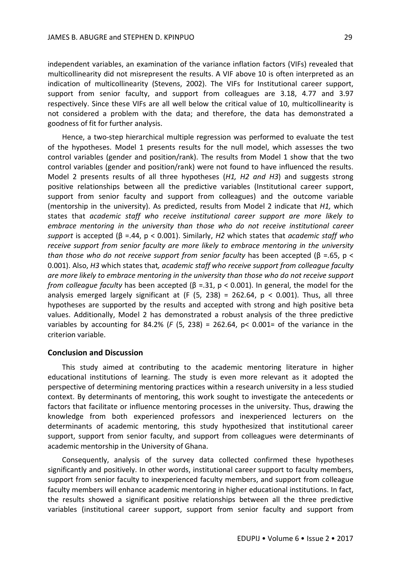independent variables, an examination of the variance inflation factors (VIFs) revealed that multicollinearity did not misrepresent the results. A VIF above 10 is often interpreted as an indication of multicollinearity (Stevens, 2002). The VIFs for Institutional career support, support from senior faculty, and support from colleagues are 3.18, 4.77 and 3.97 respectively. Since these VIFs are all well below the critical value of 10, multicollinearity is not considered a problem with the data; and therefore, the data has demonstrated a goodness of fit for further analysis.

Hence, a two-step hierarchical multiple regression was performed to evaluate the test of the hypotheses. Model 1 presents results for the null model, which assesses the two control variables (gender and position/rank). The results from Model 1 show that the two control variables (gender and position/rank) were not found to have influenced the results. Model 2 presents results of all three hypotheses (*H1, H2 and H3*) and suggests strong positive relationships between all the predictive variables (Institutional career support, support from senior faculty and support from colleagues) and the outcome variable (mentorship in the university). As predicted, results from Model 2 indicate that *H1,* which states that *academic staff who receive institutional career support are more likely to embrace mentoring in the university than those who do not receive institutional career support* is accepted (β =.44, p < 0.001). Similarly, *H2* which states that *academic staff who receive support from senior faculty are more likely to embrace mentoring in the university than those who do not receive support from senior faculty* has been accepted (β =.65, p < 0.001). Also, *H3* which states that*, academic staff who receive support from colleague faculty are more likely to embrace mentoring in the university than those who do not receive support from colleague faculty* has been accepted (β =.31, p < 0.001). In general, the model for the analysis emerged largely significant at (F  $(5, 238) = 262.64$ ,  $p < 0.001$ ). Thus, all three hypotheses are supported by the results and accepted with strong and high positive beta values. Additionally, Model 2 has demonstrated a robust analysis of the three predictive variables by accounting for 84.2% (*F* (5, 238) = 262.64, p< 0.001= of the variance in the criterion variable.

#### **Conclusion and Discussion**

This study aimed at contributing to the academic mentoring literature in higher educational institutions of learning. The study is even more relevant as it adopted the perspective of determining mentoring practices within a research university in a less studied context. By determinants of mentoring, this work sought to investigate the antecedents or factors that facilitate or influence mentoring processes in the university. Thus, drawing the knowledge from both experienced professors and inexperienced lecturers on the determinants of academic mentoring, this study hypothesized that institutional career support, support from senior faculty, and support from colleagues were determinants of academic mentorship in the University of Ghana.

Consequently, analysis of the survey data collected confirmed these hypotheses significantly and positively. In other words, institutional career support to faculty members, support from senior faculty to inexperienced faculty members, and support from colleague faculty members will enhance academic mentoring in higher educational institutions. In fact, the results showed a significant positive relationships between all the three predictive variables (institutional career support, support from senior faculty and support from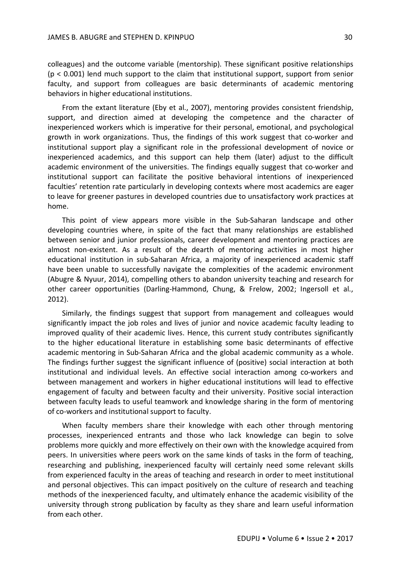colleagues) and the outcome variable (mentorship). These significant positive relationships (p < 0.001) lend much support to the claim that institutional support, support from senior faculty, and support from colleagues are basic determinants of academic mentoring behaviors in higher educational institutions.

From the extant literature (Eby et al., 2007), mentoring provides consistent friendship, support, and direction aimed at developing the competence and the character of inexperienced workers which is imperative for their personal, emotional, and psychological growth in work organizations. Thus, the findings of this work suggest that co-worker and institutional support play a significant role in the professional development of novice or inexperienced academics, and this support can help them (later) adjust to the difficult academic environment of the universities. The findings equally suggest that co-worker and institutional support can facilitate the positive behavioral intentions of inexperienced faculties' retention rate particularly in developing contexts where most academics are eager to leave for greener pastures in developed countries due to unsatisfactory work practices at home.

This point of view appears more visible in the Sub-Saharan landscape and other developing countries where, in spite of the fact that many relationships are established between senior and junior professionals, career development and mentoring practices are almost non-existent. As a result of the dearth of mentoring activities in most higher educational institution in sub-Saharan Africa, a majority of inexperienced academic staff have been unable to successfully navigate the complexities of the academic environment (Abugre & Nyuur, 2014), compelling others to abandon university teaching and research for other career opportunities (Darling-Hammond, Chung, & Frelow, 2002; Ingersoll et al., 2012).

Similarly, the findings suggest that support from management and colleagues would significantly impact the job roles and lives of junior and novice academic faculty leading to improved quality of their academic lives. Hence, this current study contributes significantly to the higher educational literature in establishing some basic determinants of effective academic mentoring in Sub-Saharan Africa and the global academic community as a whole. The findings further suggest the significant influence of (positive) social interaction at both institutional and individual levels. An effective social interaction among co-workers and between management and workers in higher educational institutions will lead to effective engagement of faculty and between faculty and their university. Positive social interaction between faculty leads to useful teamwork and knowledge sharing in the form of mentoring of co-workers and institutional support to faculty.

When faculty members share their knowledge with each other through mentoring processes, inexperienced entrants and those who lack knowledge can begin to solve problems more quickly and more effectively on their own with the knowledge acquired from peers. In universities where peers work on the same kinds of tasks in the form of teaching, researching and publishing, inexperienced faculty will certainly need some relevant skills from experienced faculty in the areas of teaching and research in order to meet institutional and personal objectives. This can impact positively on the culture of research and teaching methods of the inexperienced faculty, and ultimately enhance the academic visibility of the university through strong publication by faculty as they share and learn useful information from each other.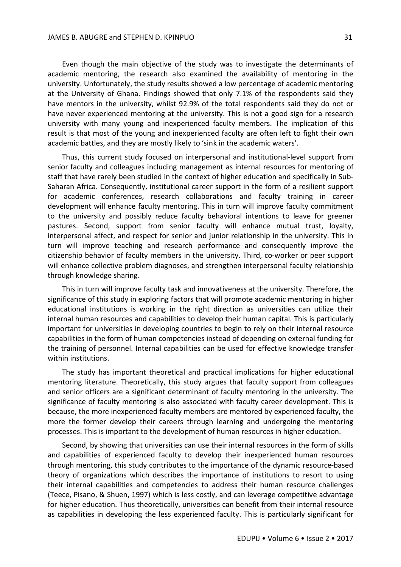Even though the main objective of the study was to investigate the determinants of academic mentoring, the research also examined the availability of mentoring in the university. Unfortunately, the study results showed a low percentage of academic mentoring at the University of Ghana. Findings showed that only 7.1% of the respondents said they have mentors in the university, whilst 92.9% of the total respondents said they do not or have never experienced mentoring at the university. This is not a good sign for a research university with many young and inexperienced faculty members. The implication of this result is that most of the young and inexperienced faculty are often left to fight their own academic battles, and they are mostly likely to 'sink in the academic waters'.

Thus, this current study focused on interpersonal and institutional-level support from senior faculty and colleagues including management as internal resources for mentoring of staff that have rarely been studied in the context of higher education and specifically in Sub-Saharan Africa. Consequently, institutional career support in the form of a resilient support for academic conferences, research collaborations and faculty training in career development will enhance faculty mentoring. This in turn will improve faculty commitment to the university and possibly reduce faculty behavioral intentions to leave for greener pastures. Second, support from senior faculty will enhance mutual trust, loyalty, interpersonal affect, and respect for senior and junior relationship in the university. This in turn will improve teaching and research performance and consequently improve the citizenship behavior of faculty members in the university. Third, co-worker or peer support will enhance collective problem diagnoses, and strengthen interpersonal faculty relationship through knowledge sharing.

This in turn will improve faculty task and innovativeness at the university. Therefore, the significance of this study in exploring factors that will promote academic mentoring in higher educational institutions is working in the right direction as universities can utilize their internal human resources and capabilities to develop their human capital. This is particularly important for universities in developing countries to begin to rely on their internal resource capabilities in the form of human competencies instead of depending on external funding for the training of personnel. Internal capabilities can be used for effective knowledge transfer within institutions.

The study has important theoretical and practical implications for higher educational mentoring literature. Theoretically, this study argues that faculty support from colleagues and senior officers are a significant determinant of faculty mentoring in the university. The significance of faculty mentoring is also associated with faculty career development. This is because, the more inexperienced faculty members are mentored by experienced faculty, the more the former develop their careers through learning and undergoing the mentoring processes. This is important to the development of human resources in higher education.

Second, by showing that universities can use their internal resources in the form of skills and capabilities of experienced faculty to develop their inexperienced human resources through mentoring, this study contributes to the importance of the dynamic resource-based theory of organizations which describes the importance of institutions to resort to using their internal capabilities and competencies to address their human resource challenges (Teece, Pisano, & Shuen, 1997) which is less costly, and can leverage competitive advantage for higher education. Thus theoretically, universities can benefit from their internal resource as capabilities in developing the less experienced faculty. This is particularly significant for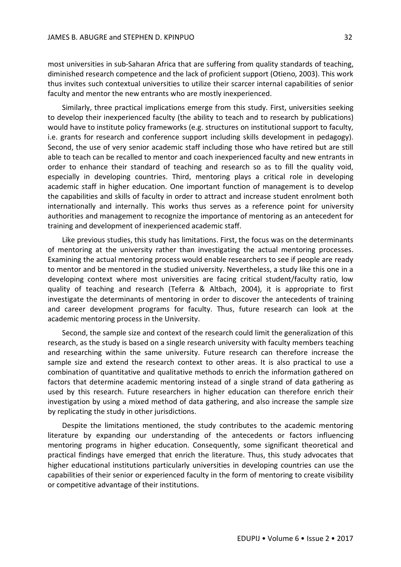most universities in sub-Saharan Africa that are suffering from quality standards of teaching, diminished research competence and the lack of proficient support (Otieno, 2003). This work thus invites such contextual universities to utilize their scarcer internal capabilities of senior faculty and mentor the new entrants who are mostly inexperienced.

Similarly, three practical implications emerge from this study. First, universities seeking to develop their inexperienced faculty (the ability to teach and to research by publications) would have to institute policy frameworks (e.g. structures on institutional support to faculty, i.e. grants for research and conference support including skills development in pedagogy). Second, the use of very senior academic staff including those who have retired but are still able to teach can be recalled to mentor and coach inexperienced faculty and new entrants in order to enhance their standard of teaching and research so as to fill the quality void, especially in developing countries. Third, mentoring plays a critical role in developing academic staff in higher education. One important function of management is to develop the capabilities and skills of faculty in order to attract and increase student enrolment both internationally and internally. This works thus serves as a reference point for university authorities and management to recognize the importance of mentoring as an antecedent for training and development of inexperienced academic staff.

Like previous studies, this study has limitations. First, the focus was on the determinants of mentoring at the university rather than investigating the actual mentoring processes. Examining the actual mentoring process would enable researchers to see if people are ready to mentor and be mentored in the studied university. Nevertheless, a study like this one in a developing context where most universities are facing critical student/faculty ratio, low quality of teaching and research (Teferra & Altbach, 2004), it is appropriate to first investigate the determinants of mentoring in order to discover the antecedents of training and career development programs for faculty. Thus, future research can look at the academic mentoring process in the University.

Second, the sample size and context of the research could limit the generalization of this research, as the study is based on a single research university with faculty members teaching and researching within the same university. Future research can therefore increase the sample size and extend the research context to other areas. It is also practical to use a combination of quantitative and qualitative methods to enrich the information gathered on factors that determine academic mentoring instead of a single strand of data gathering as used by this research. Future researchers in higher education can therefore enrich their investigation by using a mixed method of data gathering, and also increase the sample size by replicating the study in other jurisdictions.

Despite the limitations mentioned, the study contributes to the academic mentoring literature by expanding our understanding of the antecedents or factors influencing mentoring programs in higher education. Consequently, some significant theoretical and practical findings have emerged that enrich the literature. Thus, this study advocates that higher educational institutions particularly universities in developing countries can use the capabilities of their senior or experienced faculty in the form of mentoring to create visibility or competitive advantage of their institutions.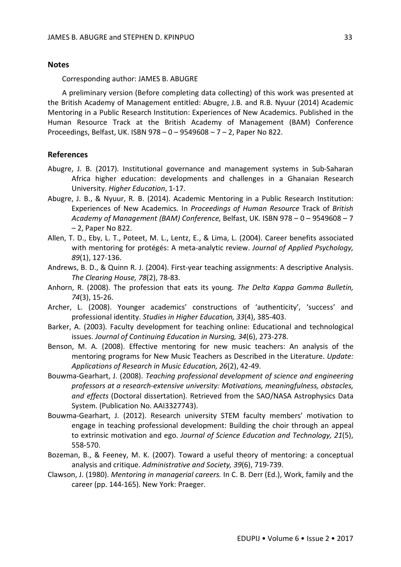### **Notes**

Corresponding author: JAMES B. ABUGRE

A preliminary version (Before completing data collecting) of this work was presented at the British Academy of Management entitled: Abugre, J.B. and R.B. Nyuur (2014) Academic Mentoring in a Public Research Institution: Experiences of New Academics. Published in the Human Resource Track at the British Academy of Management (BAM) Conference Proceedings, Belfast, UK. ISBN 978 – 0 – 9549608 – 7 – 2, Paper No 822.

# **References**

- Abugre, J. B. (2017). Institutional governance and management systems in Sub-Saharan Africa higher education: developments and challenges in a Ghanaian Research University. *Higher Education*, 1-17.
- Abugre, J. B., & Nyuur, R. B. (2014). Academic Mentoring in a Public Research Institution: Experiences of New Academics*.* In *Proceedings of Human Resource* Track of *British Academy of Management (BAM) Conference,* Belfast, UK. ISBN 978 – 0 – 9549608 – 7 – 2, Paper No 822.
- Allen, T. D., Eby, L. T., Poteet, M. L., Lentz, E., & Lima, L. (2004). Career benefits associated with mentoring for protégés: A meta-analytic review. *Journal of Applied Psychology, 89*(1), 127-136.
- Andrews, B. D., & Quinn R. J. (2004). First-year teaching assignments: A descriptive Analysis. *The Clearing House, 78*(2), 78-83.
- Anhorn, R. (2008). The profession that eats its young. *The Delta Kappa Gamma Bulletin, 74*(3), 15-26.
- Archer, L. (2008). Younger academics' constructions of 'authenticity', 'success' and professional identity. *Studies in Higher Education, 33*(4), 385-403.
- Barker, A. (2003). Faculty development for teaching online: Educational and technological issues. *Journal of Continuing Education in Nursing, 34*(6), 273-278.
- Benson, M. A. (2008). Effective mentoring for new music teachers: An analysis of the mentoring programs for New Music Teachers as Described in the Literature. *Update: Applications of Research in Music Education, 26*(2), 42-49.
- Bouwma-Gearhart, J. (2008). *Teaching professional development of science and engineering professors at a research-extensive university: Motivations, meaningfulness, obstacles, and effects* (Doctoral dissertation). Retrieved from the SAO/NASA Astrophysics Data System. (Publication No. AAI3327743).
- Bouwma-Gearhart, J. (2012). Research university STEM faculty members' motivation to engage in teaching professional development: Building the choir through an appeal to extrinsic motivation and ego. *Journal of Science Education and Technology, 21*(5), 558-570.
- Bozeman, B., & Feeney, M. K. (2007). Toward a useful theory of mentoring: a conceptual analysis and critique. *Administrative and Society, 39*(6), 719-739.
- Clawson, J. (1980). *Mentoring in managerial careers.* In C. B. Derr (Ed.), Work, family and the career (pp. 144-165). New York: Praeger.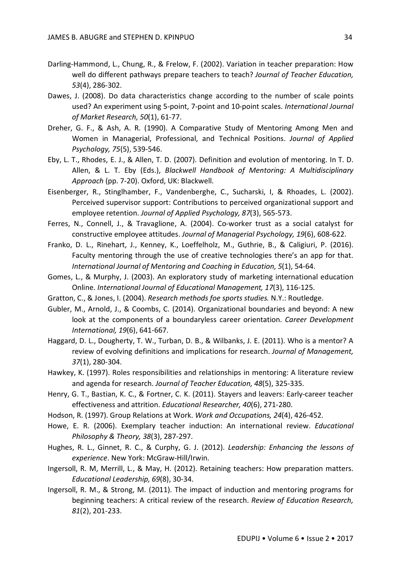- Darling-Hammond, L., Chung, R., & Frelow, F. (2002). Variation in teacher preparation: How well do different pathways prepare teachers to teach? *Journal of Teacher Education, 53*(4), 286-302.
- Dawes, J. (2008). Do data characteristics change according to the number of scale points used? An experiment using 5-point, 7-point and 10-point scales. *International Journal of Market Research, 50*(1), 61-77.
- Dreher, G. F., & Ash, A. R. (1990). A Comparative Study of Mentoring Among Men and Women in Managerial, Professional, and Technical Positions. *Journal of Applied Psychology, 75*(5), 539-546.
- Eby, L. T., Rhodes, E. J., & Allen, T. D. (2007). Definition and evolution of mentoring. In T. D. Allen, & L. T. Eby (Eds.), *Blackwell Handbook of Mentoring: A Multidisciplinary Approach* (pp. 7-20). Oxford, UK: Blackwell.
- Eisenberger, R., Stinglhamber, F., Vandenberghe, C., Sucharski, I, & Rhoades, L. (2002). Perceived supervisor support: Contributions to perceived organizational support and employee retention. *Journal of Applied Psychology, 87*(3), 565-573.
- Ferres, N., Connell, J., & Travaglione, A. (2004). Co-worker trust as a social catalyst for constructive employee attitudes. *Journal of Managerial Psychology, 19*(6), 608-622.
- Franko, D. L., Rinehart, J., Kenney, K., Loeffelholz, M., Guthrie, B., & Caligiuri, P. (2016). Faculty mentoring through the use of creative technologies there's an app for that. *International Journal of Mentoring and Coaching in Education, 5*(1), 54-64.
- Gomes, L., & Murphy, J. (2003). An exploratory study of marketing international education Online. *International Journal of Educational Management, 17*(3), 116-125.
- Gratton, C., & Jones, I. (2004). *Research methods foe sports studies.* N.Y.: Routledge.
- Gubler, M., Arnold, J., & Coombs, C. (2014). Organizational boundaries and beyond: A new look at the components of a boundaryless career orientation. *Career Development International, 19*(6), 641-667.
- Haggard, D. L., Dougherty, T. W., Turban, D. B., & Wilbanks, J. E. (2011). Who is a mentor? A review of evolving definitions and implications for research. *Journal of Management, 37*(1), 280-304.
- Hawkey, K. (1997). Roles responsibilities and relationships in mentoring: A literature review and agenda for research. *Journal of Teacher Education, 48*(5), 325-335.
- Henry, G. T., Bastian, K. C., & Fortner, C. K. (2011). Stayers and leavers: Early-career teacher effectiveness and attrition. *Educational Researcher, 40*(6), 271-280.
- Hodson, R. (1997). Group Relations at Work. *Work and Occupations, 24*(4), 426-452.
- Howe, E. R. (2006). Exemplary teacher induction: An international review. *Educational Philosophy & Theory, 38*(3), 287-297.
- Hughes, R. L., Ginnet, R. C., & Curphy, G. J. (2012). *Leadership: Enhancing the lessons of experience*. New York: McGraw-Hill/Irwin.
- Ingersoll, R. M, Merrill, L., & May, H. (2012). Retaining teachers: How preparation matters. *Educational Leadership, 69*(8), 30-34.
- Ingersoll, R. M., & Strong, M. (2011). The impact of induction and mentoring programs for beginning teachers: A critical review of the research. *Review of Education Research, 81*(2), 201-233.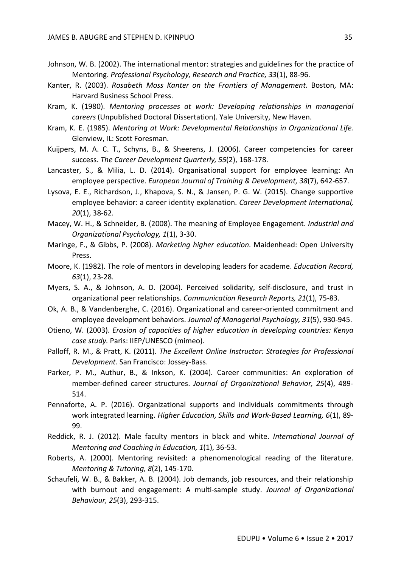- Johnson, W. B. (2002). The international mentor: strategies and guidelines for the practice of Mentoring. *Professional Psychology, Research and Practice, 33*(1), 88-96.
- Kanter, R. (2003). *Rosabeth Moss Kanter on the Frontiers of Management*. Boston, MA: Harvard Business School Press.
- Kram, K. (1980). *Mentoring processes at work: Developing relationships in managerial careers* (Unpublished Doctoral Dissertation). Yale University, New Haven.
- Kram, K. E. (1985). *Mentoring at Work: Developmental Relationships in Organizational Life.* Glenview, IL: Scott Foresman.
- Kuijpers, M. A. C. T., Schyns, B., & Sheerens, J. (2006). Career competencies for career success. *The Career Development Quarterly, 55*(2), 168-178.
- Lancaster, S., & Milia, L. D. (2014). Organisational support for employee learning: An employee perspective. *European Journal of Training & Development, 38*(7), 642-657.
- Lysova, E. E., Richardson, J., Khapova, S. N., & Jansen, P. G. W. (2015). Change supportive employee behavior: a career identity explanation. *Career Development International, 20*(1), 38-62.
- Macey, W. H., & Schneider, B. (2008). The meaning of Employee Engagement. *Industrial and Organizational Psychology, 1*(1), 3-30.
- Maringe, F., & Gibbs, P. (2008). *Marketing higher education.* Maidenhead: Open University Press.
- Moore, K. (1982). The role of mentors in developing leaders for academe. *Education Record, 63*(1), 23-28.
- Myers, S. A., & Johnson, A. D. (2004). Perceived solidarity, self-disclosure, and trust in organizational peer relationships. *Communication Research Reports, 21*(1), 75-83.
- Ok, A. B., & Vandenberghe, C. (2016). Organizational and career-oriented commitment and employee development behaviors. *Journal of Managerial Psychology, 31*(5), 930-945.
- Otieno, W. (2003). *Erosion of capacities of higher education in developing countries: Kenya case study.* Paris: IIEP/UNESCO (mimeo).
- Palloff, R. M., & Pratt, K. (2011). *The Excellent Online Instructor: Strategies for Professional Development.* San Francisco: Jossey-Bass.
- Parker, P. M., Authur, B., & Inkson, K. (2004). Career communities: An exploration of member-defined career structures. *Journal of Organizational Behavior, 25*(4), 489- 514.
- Pennaforte, A. P. (2016). Organizational supports and individuals commitments through work integrated learning. *Higher Education, Skills and Work-Based Learning, 6*(1), 89- 99.
- Reddick, R. J. (2012). Male faculty mentors in black and white. *International Journal of Mentoring and Coaching in Education, 1*(1), 36-53.
- Roberts, A. (2000). Mentoring revisited: a phenomenological reading of the literature. *Mentoring & Tutoring, 8*(2), 145-170.
- Schaufeli, W. B., & Bakker, A. B. (2004). Job demands, job resources, and their relationship with burnout and engagement: A multi-sample study. *Journal of Organizational Behaviour, 25*(3), 293-315.